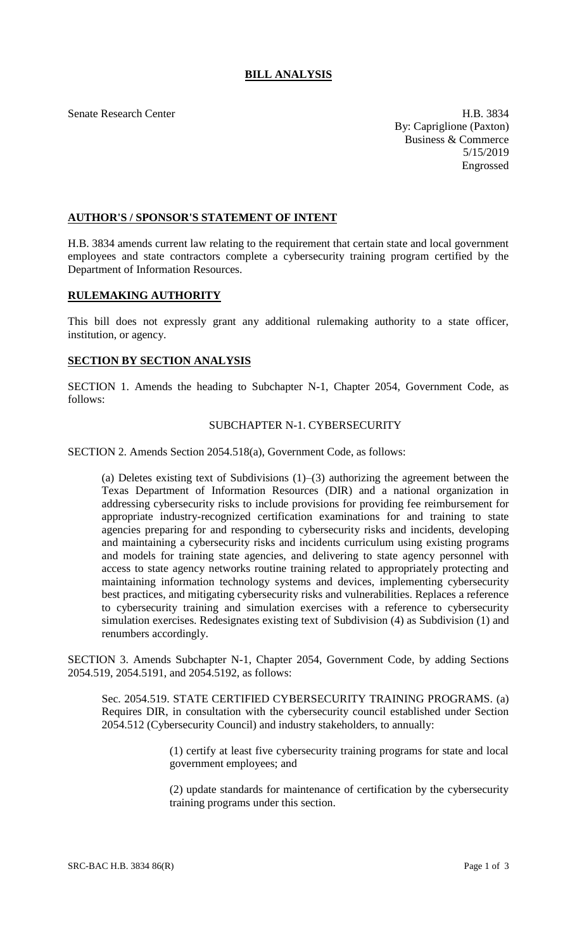# **BILL ANALYSIS**

Senate Research Center **H.B.** 3834 By: Capriglione (Paxton) Business & Commerce 5/15/2019 Engrossed

## **AUTHOR'S / SPONSOR'S STATEMENT OF INTENT**

H.B. 3834 amends current law relating to the requirement that certain state and local government employees and state contractors complete a cybersecurity training program certified by the Department of Information Resources.

#### **RULEMAKING AUTHORITY**

This bill does not expressly grant any additional rulemaking authority to a state officer, institution, or agency.

#### **SECTION BY SECTION ANALYSIS**

SECTION 1. Amends the heading to Subchapter N-1, Chapter 2054, Government Code, as follows:

### SUBCHAPTER N-1. CYBERSECURITY

SECTION 2. Amends Section 2054.518(a), Government Code, as follows:

(a) Deletes existing text of Subdivisions (1)–(3) authorizing the agreement between the Texas Department of Information Resources (DIR) and a national organization in addressing cybersecurity risks to include provisions for providing fee reimbursement for appropriate industry-recognized certification examinations for and training to state agencies preparing for and responding to cybersecurity risks and incidents, developing and maintaining a cybersecurity risks and incidents curriculum using existing programs and models for training state agencies, and delivering to state agency personnel with access to state agency networks routine training related to appropriately protecting and maintaining information technology systems and devices, implementing cybersecurity best practices, and mitigating cybersecurity risks and vulnerabilities. Replaces a reference to cybersecurity training and simulation exercises with a reference to cybersecurity simulation exercises. Redesignates existing text of Subdivision (4) as Subdivision (1) and renumbers accordingly.

SECTION 3. Amends Subchapter N-1, Chapter 2054, Government Code, by adding Sections 2054.519, 2054.5191, and 2054.5192, as follows:

Sec. 2054.519. STATE CERTIFIED CYBERSECURITY TRAINING PROGRAMS. (a) Requires DIR, in consultation with the cybersecurity council established under Section 2054.512 (Cybersecurity Council) and industry stakeholders, to annually:

> (1) certify at least five cybersecurity training programs for state and local government employees; and

> (2) update standards for maintenance of certification by the cybersecurity training programs under this section.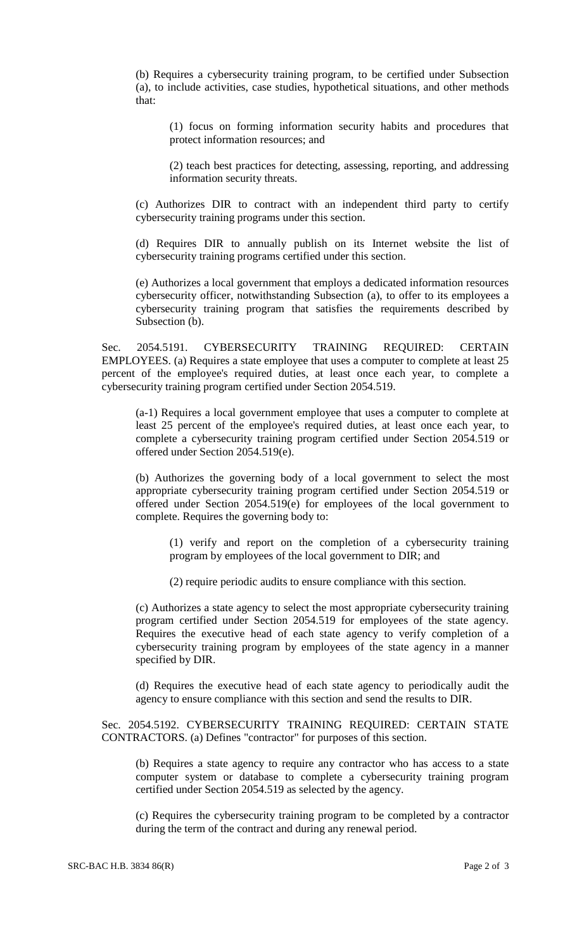(b) Requires a cybersecurity training program, to be certified under Subsection (a), to include activities, case studies, hypothetical situations, and other methods that:

(1) focus on forming information security habits and procedures that protect information resources; and

(2) teach best practices for detecting, assessing, reporting, and addressing information security threats.

(c) Authorizes DIR to contract with an independent third party to certify cybersecurity training programs under this section.

(d) Requires DIR to annually publish on its Internet website the list of cybersecurity training programs certified under this section.

(e) Authorizes a local government that employs a dedicated information resources cybersecurity officer, notwithstanding Subsection (a), to offer to its employees a cybersecurity training program that satisfies the requirements described by Subsection (b).

Sec. 2054.5191. CYBERSECURITY TRAINING REQUIRED: CERTAIN EMPLOYEES. (a) Requires a state employee that uses a computer to complete at least 25 percent of the employee's required duties, at least once each year, to complete a cybersecurity training program certified under Section 2054.519.

(a-1) Requires a local government employee that uses a computer to complete at least 25 percent of the employee's required duties, at least once each year, to complete a cybersecurity training program certified under Section 2054.519 or offered under Section 2054.519(e).

(b) Authorizes the governing body of a local government to select the most appropriate cybersecurity training program certified under Section 2054.519 or offered under Section 2054.519(e) for employees of the local government to complete. Requires the governing body to:

(1) verify and report on the completion of a cybersecurity training program by employees of the local government to DIR; and

(2) require periodic audits to ensure compliance with this section.

(c) Authorizes a state agency to select the most appropriate cybersecurity training program certified under Section 2054.519 for employees of the state agency. Requires the executive head of each state agency to verify completion of a cybersecurity training program by employees of the state agency in a manner specified by DIR.

(d) Requires the executive head of each state agency to periodically audit the agency to ensure compliance with this section and send the results to DIR.

Sec. 2054.5192. CYBERSECURITY TRAINING REQUIRED: CERTAIN STATE CONTRACTORS. (a) Defines "contractor" for purposes of this section.

(b) Requires a state agency to require any contractor who has access to a state computer system or database to complete a cybersecurity training program certified under Section 2054.519 as selected by the agency.

(c) Requires the cybersecurity training program to be completed by a contractor during the term of the contract and during any renewal period.